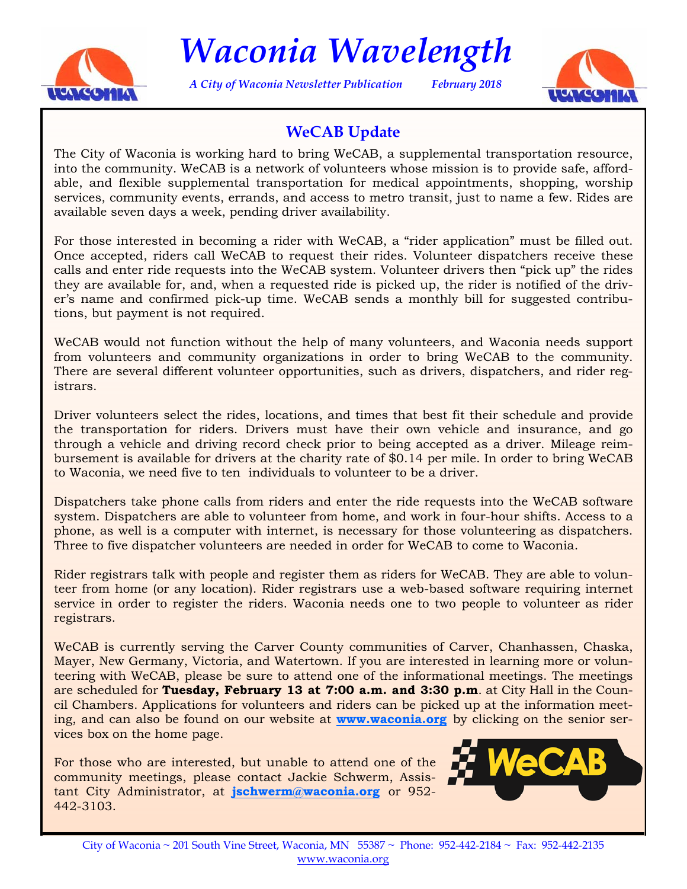

*Waconia Wavelength* 

*A City of Waconia Newsletter Publication February 2018* 



# **WeCAB Update**

The City of Waconia is working hard to bring WeCAB, a supplemental transportation resource, into the community. WeCAB is a network of volunteers whose mission is to provide safe, affordable, and flexible supplemental transportation for medical appointments, shopping, worship services, community events, errands, and access to metro transit, just to name a few. Rides are available seven days a week, pending driver availability.

For those interested in becoming a rider with WeCAB, a "rider application" must be filled out. Once accepted, riders call WeCAB to request their rides. Volunteer dispatchers receive these calls and enter ride requests into the WeCAB system. Volunteer drivers then "pick up" the rides they are available for, and, when a requested ride is picked up, the rider is notified of the driver's name and confirmed pick-up time. WeCAB sends a monthly bill for suggested contributions, but payment is not required.

WeCAB would not function without the help of many volunteers, and Waconia needs support from volunteers and community organizations in order to bring WeCAB to the community. There are several different volunteer opportunities, such as drivers, dispatchers, and rider registrars.

Driver volunteers select the rides, locations, and times that best fit their schedule and provide the transportation for riders. Drivers must have their own vehicle and insurance, and go through a vehicle and driving record check prior to being accepted as a driver. Mileage reimbursement is available for drivers at the charity rate of \$0.14 per mile. In order to bring WeCAB to Waconia, we need five to ten individuals to volunteer to be a driver.

Dispatchers take phone calls from riders and enter the ride requests into the WeCAB software system. Dispatchers are able to volunteer from home, and work in four-hour shifts. Access to a phone, as well is a computer with internet, is necessary for those volunteering as dispatchers. Three to five dispatcher volunteers are needed in order for WeCAB to come to Waconia.

Rider registrars talk with people and register them as riders for WeCAB. They are able to volunteer from home (or any location). Rider registrars use a web-based software requiring internet service in order to register the riders. Waconia needs one to two people to volunteer as rider registrars.

WeCAB is currently serving the Carver County communities of Carver, Chanhassen, Chaska, Mayer, New Germany, Victoria, and Watertown. If you are interested in learning more or volunteering with WeCAB, please be sure to attend one of the informational meetings. The meetings are scheduled for **Tuesday, February 13 at 7:00 a.m. and 3:30 p.m**. at City Hall in the Council Chambers. Applications for volunteers and riders can be picked up at the information meeting, and can also be found on our website at **www.waconia.org** by clicking on the senior services box on the home page.

For those who are interested, but unable to attend one of the community meetings, please contact Jackie Schwerm, Assistant City Administrator, at **jschwerm@waconia.org** or 952- 442-3103.